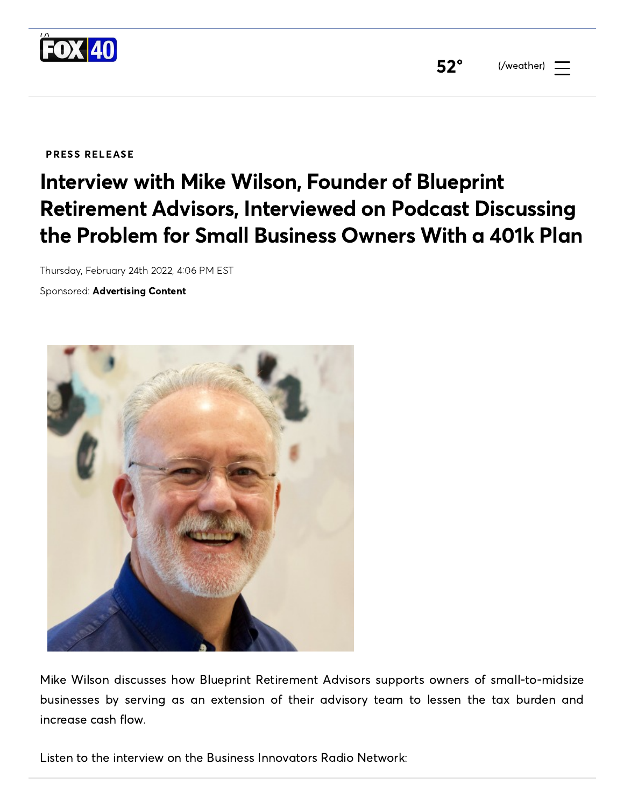

[52](https://www.wicz.com/weather)° (/weather)

PRESS RELEASE

## Interview with Mike Wilson, Founder of Blueprint Retirement Advisors, Interviewed on Podcast Discussing the Problem for Small Business Owners With a 401k Plan

Thursday, February 24th 2022, 4:06 PM EST

Sponsored: Advertising Content



Mike Wilson discusses how Blueprint Retirement Advisors supports owners of small-to-midsize businesses by serving as an extension of their advisory team to lessen the tax burden and increase cash flow.

Listen to the interview on the Business Innovators Radio Network: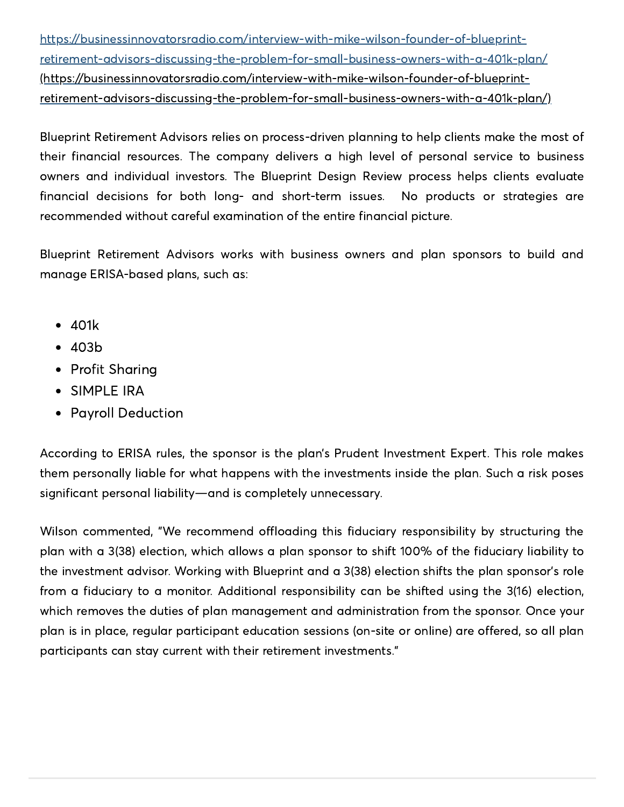https://businessinnovatorsradio.com/interview-with-mike-wilson-founder-of-blueprintretirement-advisors-discussing-the-problem-for-small-business-owners-with-a-401k-plan/ (https://businessinnovatorsradio.com/interview-with-mike-wilson-founder-of-blueprint[retirement-advisors-discussing-the-problem-for-small-business-owners-with-a-401k-plan/\)](https://businessinnovatorsradio.com/interview-with-mike-wilson-founder-of-blueprint-retirement-advisors-discussing-the-problem-for-small-business-owners-with-a-401k-plan/)

Blueprint Retirement Advisors relies on process-driven planning to help clients make the most of their financial resources. The company delivers a high level of personal service to business owners and individual investors. The Blueprint Design Review process helps clients evaluate financial decisions for both long- and short-term issues. No products or strategies are recommended without careful examination of the entire financial picture.

Blueprint Retirement Advisors works with business owners and plan sponsors to build and manage ERISA-based plans, such as:

- 401k
- 403b
- Profit Sharing
- SIMPLE IRA
- Payroll Deduction

According to ERISA rules, the sponsor is the plan's Prudent Investment Expert. This role makes them personally liable for what happens with the investments inside the plan. Such a risk poses significant personal liability—and is completely unnecessary.

Wilson commented, "We recommend offloading this fiduciary responsibility by structuring the plan with a 3(38) election, which allows a plan sponsor to shift 100% of the fiduciary liability to the investment advisor. Working with Blueprint and a 3(38) election shifts the plan sponsor's role from a fiduciary to a monitor. Additional responsibility can be shifted using the 3(16) election, which removes the duties of plan management and administration from the sponsor. Once your plan is in place, regular participant education sessions (on-site or online) are offered, so all plan participants can stay current with their retirement investments."